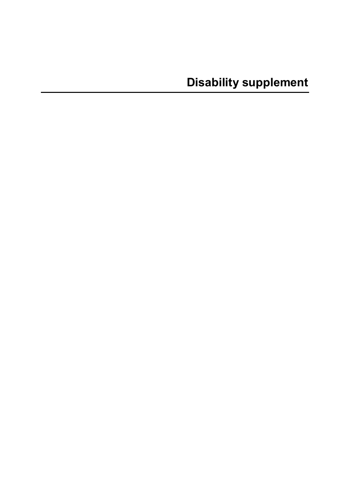**Disability supplement**